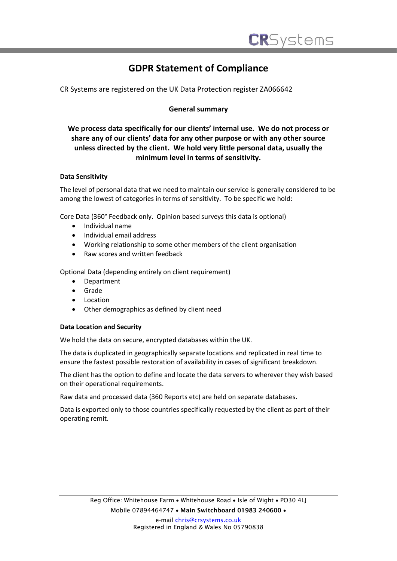# **GDPR Statement of Compliance**

CR Systems are registered on the UK Data Protection register ZA066642

# **General summary**

# **We process data specifically for our clients' internal use. We do not process or share any of our clients' data for any other purpose or with any other source unless directed by the client. We hold very little personal data, usually the minimum level in terms of sensitivity.**

# **Data Sensitivity**

The level of personal data that we need to maintain our service is generally considered to be among the lowest of categories in terms of sensitivity. To be specific we hold:

Core Data (360° Feedback only. Opinion based surveys this data is optional)

- Individual name
- Individual email address
- Working relationship to some other members of the client organisation
- Raw scores and written feedback

Optional Data (depending entirely on client requirement)

- Department
- Grade
- **Location**
- Other demographics as defined by client need

#### **Data Location and Security**

We hold the data on secure, encrypted databases within the UK.

The data is duplicated in geographically separate locations and replicated in real time to ensure the fastest possible restoration of availability in cases of significant breakdown.

The client has the option to define and locate the data servers to wherever they wish based on their operational requirements.

Raw data and processed data (360 Reports etc) are held on separate databases.

Data is exported only to those countries specifically requested by the client as part of their operating remit.